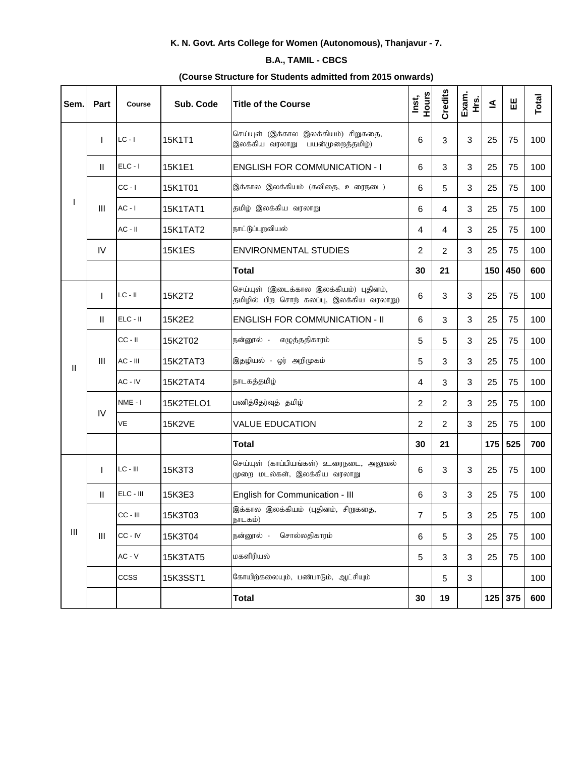## **K. N. Govt. Arts College for Women (Autonomous), Thanjavur - 7.**

## **B.A., TAMIL - CBCS**

## **(Course Structure for Students admitted from 2015 onwards)**

| Sem. | Part           | Course     | Sub. Code       | <b>Title of the Course</b>                                                         | Hours<br>Inst, | Credits        | Exam.<br>Hrs. | ₹   | 出         | Total |
|------|----------------|------------|-----------------|------------------------------------------------------------------------------------|----------------|----------------|---------------|-----|-----------|-------|
|      |                | $LC - I$   | 15K1T1          | செய்யுள் (இக்கால இலக்கியம்) சிறுகதை,<br>இலக்கிய வரலாறு பயன்முறைத்தமிழ்)            | 6              | 3              | $\sqrt{3}$    | 25  | 75        | 100   |
|      | $\mathbf{I}$   | $ELC - I$  | 15K1E1          | <b>ENGLISH FOR COMMUNICATION - I</b>                                               | 6              | 3              | 3             | 25  | 75        | 100   |
|      | $\mathbf{III}$ | $CC - I$   | 15K1T01         | இக்கால இலக்கியம் (கவிதை, உரைநடை)                                                   | 6              | 5              | 3             | 25  | 75        | 100   |
|      |                | $AC - I$   | <b>15K1TAT1</b> | தமிழ் இலக்கிய வரலாறு                                                               | 6              | 4              | $\sqrt{3}$    | 25  | 75        | 100   |
|      |                | $AC - II$  | 15K1TAT2        | நாட்டுப்புறவியல்                                                                   | 4              | 4              | $\mathbf{3}$  | 25  | 75        | 100   |
|      | IV             |            | <b>15K1ES</b>   | <b>ENVIRONMENTAL STUDIES</b>                                                       | 2              | $\overline{2}$ | 3             | 25  | 75        | 100   |
|      |                |            |                 | <b>Total</b>                                                                       | 30             | 21             |               | 150 | 450       | 600   |
|      |                | $LC - II$  | 15K2T2          | செய்யுள் (இடைக்கால இலக்கியம்) புதினம்,<br>தமிழில் பிற சொற் கலப்பு, இலக்கிய வரலாறு) | 6              | 3              | $\sqrt{3}$    | 25  | 75        | 100   |
|      | Ш.             | $ELC - II$ | 15K2E2          | <b>ENGLISH FOR COMMUNICATION - II</b>                                              | 6              | 3              | 3             | 25  | 75        | 100   |
|      | $\mathbf{III}$ | $CC - II$  | 15K2T02         | எழுத்ததிகாரம்<br>நன்னூல் -                                                         | 5              | 5              | 3             | 25  | 75        | 100   |
| Ш    |                | AC - III   | 15K2TAT3        | இதழியல் - ஒர் அறிமுகம்                                                             | 5              | 3              | 3             | 25  | 75        | 100   |
|      |                | AC - IV    | 15K2TAT4        | நாடகத்தமிழ்                                                                        | 4              | 3              | 3             | 25  | 75        | 100   |
|      | IV             | NME-I      | 15K2TELO1       | பணித்தேர்வுத் தமிழ்                                                                | $\overline{2}$ | $\overline{2}$ | 3             | 25  | 75        | 100   |
|      |                | VE         | <b>15K2VE</b>   | <b>VALUE EDUCATION</b>                                                             | 2              | 2              | 3             | 25  | 75        | 100   |
|      |                |            |                 | <b>Total</b>                                                                       | 30             | 21             |               | 175 | 525       | 700   |
|      | $\mathbf{I}$   | $LC - III$ | 15K3T3          | செய்யுள் (காப்பியங்கள்) உரைநடை, அலுவல்<br>முறை மடல்கள், இலக்கிய வரலாறு             | 6              | 3              | $\sqrt{3}$    | 25  | 75        | 100   |
|      | $\mathbf{H}$   | ELC - III  | 15K3E3          | English for Communication - III                                                    | 6              | 3              | 3             | 25  | 75        | 100   |
|      | $\mathbf{III}$ | CC - III   | 15K3T03         | இக்கால இலக்கியம் (புதினம், சிறுகதை,<br>நாடகம்)                                     | $\overline{7}$ | 5              | $\sqrt{3}$    | 25  | 75        | 100   |
| Ш    |                | CC - IV    | 15K3T04         | சொல்லதிகாரம்<br>நன்னூல் -                                                          | 6              | 5              | 3             | 25  | 75        | 100   |
|      |                | $AC - V$   | 15K3TAT5        | மகளிரியல்                                                                          | 5              | $\mathbf{3}$   | $\mathbf{3}$  | 25  | 75        | 100   |
|      |                | ccss       | 15K3SST1        | கோயிற்கலையும், பண்பாடும், ஆட்சியும்                                                |                | 5              | 3             |     |           | 100   |
|      |                |            |                 | <b>Total</b>                                                                       | 30             | 19             |               |     | $125$ 375 | 600   |